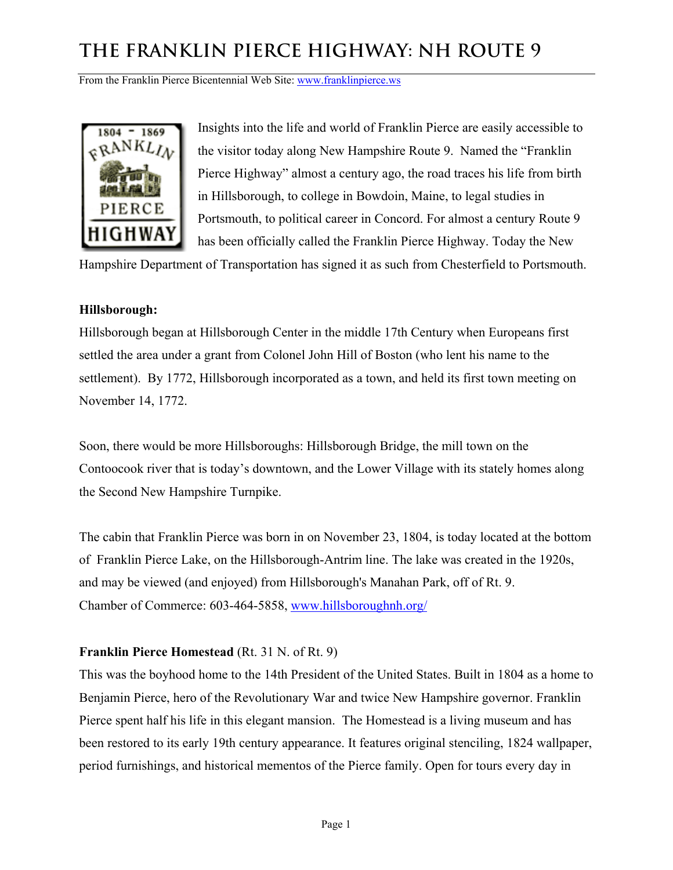From the Franklin Pierce Bicentennial Web Site: www.franklinpierce.ws



Insights into the life and world of Franklin Pierce are easily accessible to the visitor today along New Hampshire Route 9. Named the "Franklin Pierce Highway" almost a century ago, the road traces his life from birth in Hillsborough, to college in Bowdoin, Maine, to legal studies in Portsmouth, to political career in Concord. For almost a century Route 9 has been officially called the Franklin Pierce Highway. Today the New

Hampshire Department of Transportation has signed it as such from Chesterfield to Portsmouth.

### **Hillsborough:**

Hillsborough began at Hillsborough Center in the middle 17th Century when Europeans first settled the area under a grant from Colonel John Hill of Boston (who lent his name to the settlement). By 1772, Hillsborough incorporated as a town, and held its first town meeting on November 14, 1772.

Soon, there would be more Hillsboroughs: Hillsborough Bridge, the mill town on the Contoocook river that is today's downtown, and the Lower Village with its stately homes along the Second New Hampshire Turnpike.

The cabin that Franklin Pierce was born in on November 23, 1804, is today located at the bottom of Franklin Pierce Lake, on the Hillsborough-Antrim line. The lake was created in the 1920s, and may be viewed (and enjoyed) from Hillsborough's Manahan Park, off of Rt. 9. Chamber of Commerce: 603-464-5858, [www.hillsboroughnh.org/](http://www.concordchamber.com/)

### **Franklin Pierce Homestead** (Rt. 31 N. of Rt. 9)

This was the boyhood home to the 14th President of the United States. Built in 1804 as a home to Benjamin Pierce, hero of the Revolutionary War and twice New Hampshire governor. Franklin Pierce spent half his life in this elegant mansion. The Homestead is a living museum and has been restored to its early 19th century appearance. It features original stenciling, 1824 wallpaper, period furnishings, and historical mementos of the Pierce family. Open for tours every day in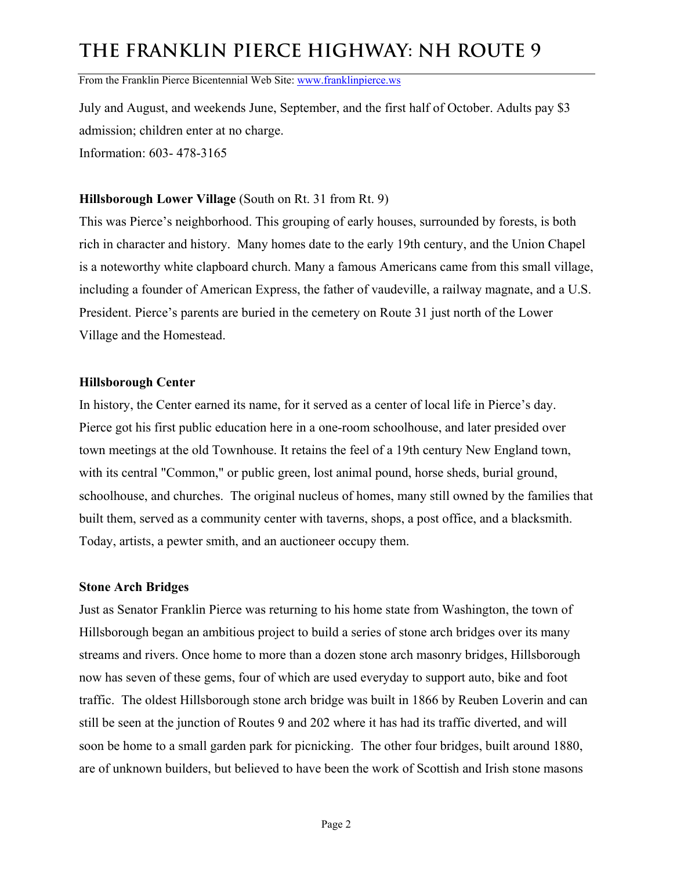From the Franklin Pierce Bicentennial Web Site: www.franklinpierce.ws

July and August, and weekends June, September, and the first half of October. Adults pay \$3 admission; children enter at no charge. Information: 603- 478-3165

### **Hillsborough Lower Village** (South on Rt. 31 from Rt. 9)

This was Pierce's neighborhood. This grouping of early houses, surrounded by forests, is both rich in character and history. Many homes date to the early 19th century, and the Union Chapel is a noteworthy white clapboard church. Many a famous Americans came from this small village, including a founder of American Express, the father of vaudeville, a railway magnate, and a U.S. President. Pierce's parents are buried in the cemetery on Route 31 just north of the Lower Village and the Homestead.

#### **Hillsborough Center**

In history, the Center earned its name, for it served as a center of local life in Pierce's day. Pierce got his first public education here in a one-room schoolhouse, and later presided over town meetings at the old Townhouse. It retains the feel of a 19th century New England town, with its central "Common," or public green, lost animal pound, horse sheds, burial ground, schoolhouse, and churches. The original nucleus of homes, many still owned by the families that built them, served as a community center with taverns, shops, a post office, and a blacksmith. Today, artists, a pewter smith, and an auctioneer occupy them.

### **Stone Arch Bridges**

Just as Senator Franklin Pierce was returning to his home state from Washington, the town of Hillsborough began an ambitious project to build a series of stone arch bridges over its many streams and rivers. Once home to more than a dozen stone arch masonry bridges, Hillsborough now has seven of these gems, four of which are used everyday to support auto, bike and foot traffic. The oldest Hillsborough stone arch bridge was built in 1866 by Reuben Loverin and can still be seen at the junction of Routes 9 and 202 where it has had its traffic diverted, and will soon be home to a small garden park for picnicking. The other four bridges, built around 1880, are of unknown builders, but believed to have been the work of Scottish and Irish stone masons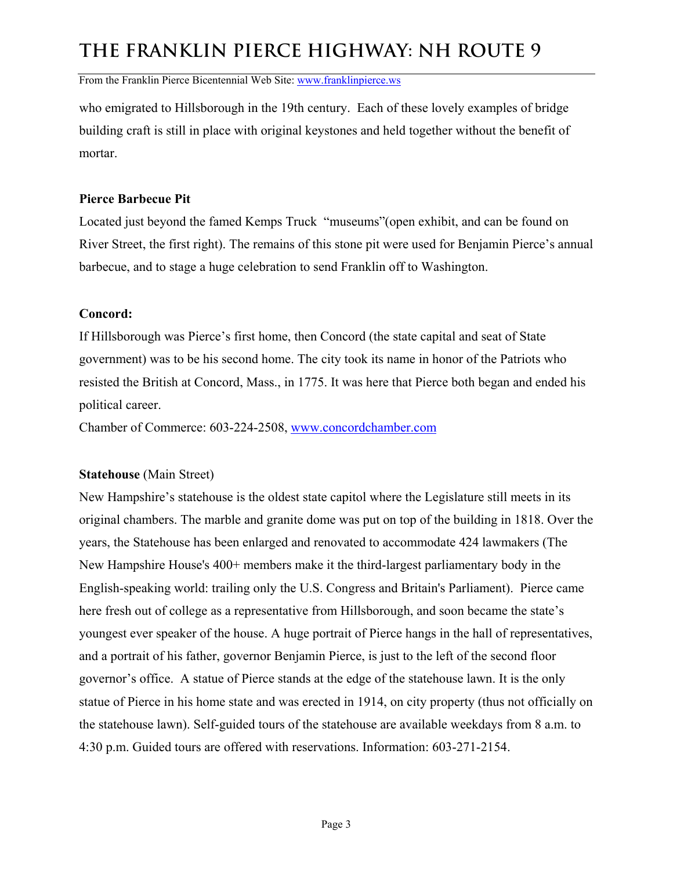From the Franklin Pierce Bicentennial Web Site: www.franklinpierce.ws

who emigrated to Hillsborough in the 19th century. Each of these lovely examples of bridge building craft is still in place with original keystones and held together without the benefit of mortar.

#### **Pierce Barbecue Pit**

Located just beyond the famed Kemps Truck "museums"(open exhibit, and can be found on River Street, the first right). The remains of this stone pit were used for Benjamin Pierce's annual barbecue, and to stage a huge celebration to send Franklin off to Washington.

#### **Concord:**

If Hillsborough was Pierce's first home, then Concord (the state capital and seat of State government) was to be his second home. The city took its name in honor of the Patriots who resisted the British at Concord, Mass., in 1775. It was here that Pierce both began and ended his political career.

Chamber of Commerce: 603-224-2508, [www.concordchamber.com](http://www.concordchamber.com/)

### **Statehouse** (Main Street)

New Hampshire's statehouse is the oldest state capitol where the Legislature still meets in its original chambers. The marble and granite dome was put on top of the building in 1818. Over the years, the Statehouse has been enlarged and renovated to accommodate 424 lawmakers (The New Hampshire House's 400+ members make it the third-largest parliamentary body in the English-speaking world: trailing only the U.S. Congress and Britain's Parliament). Pierce came here fresh out of college as a representative from Hillsborough, and soon became the state's youngest ever speaker of the house. A huge portrait of Pierce hangs in the hall of representatives, and a portrait of his father, governor Benjamin Pierce, is just to the left of the second floor governor's office. A statue of Pierce stands at the edge of the statehouse lawn. It is the only statue of Pierce in his home state and was erected in 1914, on city property (thus not officially on the statehouse lawn). Self-guided tours of the statehouse are available weekdays from 8 a.m. to 4:30 p.m. Guided tours are offered with reservations. Information: 603-271-2154.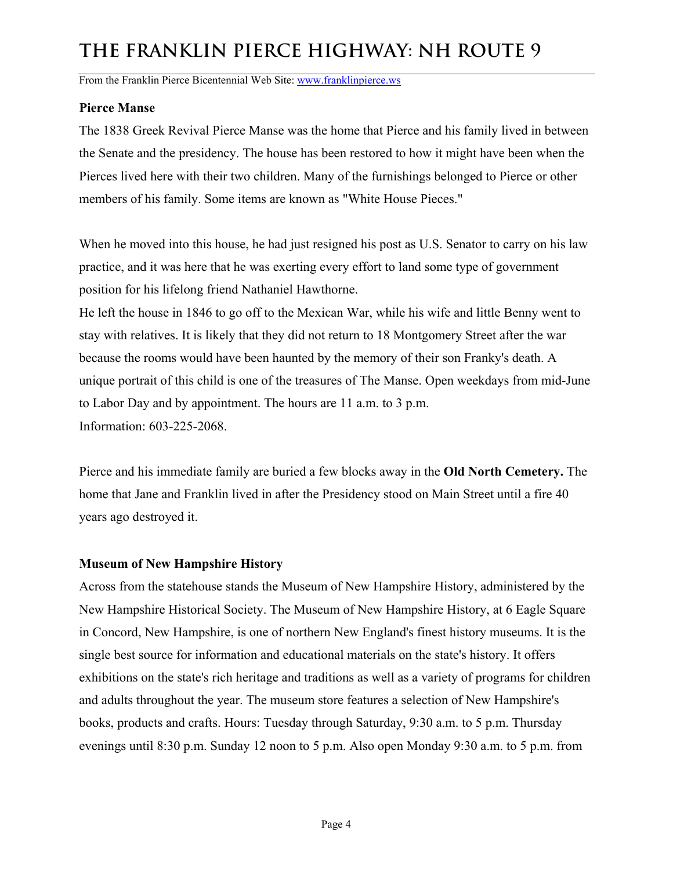From the Franklin Pierce Bicentennial Web Site: www.franklinpierce.ws

### **Pierce Manse**

The 1838 Greek Revival Pierce Manse was the home that Pierce and his family lived in between the Senate and the presidency. The house has been restored to how it might have been when the Pierces lived here with their two children. Many of the furnishings belonged to Pierce or other members of his family. Some items are known as "White House Pieces."

When he moved into this house, he had just resigned his post as U.S. Senator to carry on his law practice, and it was here that he was exerting every effort to land some type of government position for his lifelong friend Nathaniel Hawthorne.

He left the house in 1846 to go off to the Mexican War, while his wife and little Benny went to stay with relatives. It is likely that they did not return to 18 Montgomery Street after the war because the rooms would have been haunted by the memory of their son Franky's death. A unique portrait of this child is one of the treasures of The Manse. Open weekdays from mid-June to Labor Day and by appointment. The hours are 11 a.m. to 3 p.m. Information: 603-225-2068.

Pierce and his immediate family are buried a few blocks away in the **Old North Cemetery.** The home that Jane and Franklin lived in after the Presidency stood on Main Street until a fire 40 years ago destroyed it.

### **Museum of New Hampshire History**

Across from the statehouse stands the Museum of New Hampshire History, administered by the New Hampshire Historical Society. The Museum of New Hampshire History, at 6 Eagle Square in Concord, New Hampshire, is one of northern New England's finest history museums. It is the single best source for information and educational materials on the state's history. It offers exhibitions on the state's rich heritage and traditions as well as a variety of programs for children and adults throughout the year. The museum store features a selection of New Hampshire's books, products and crafts. Hours: Tuesday through Saturday, 9:30 a.m. to 5 p.m. Thursday evenings until 8:30 p.m. Sunday 12 noon to 5 p.m. Also open Monday 9:30 a.m. to 5 p.m. from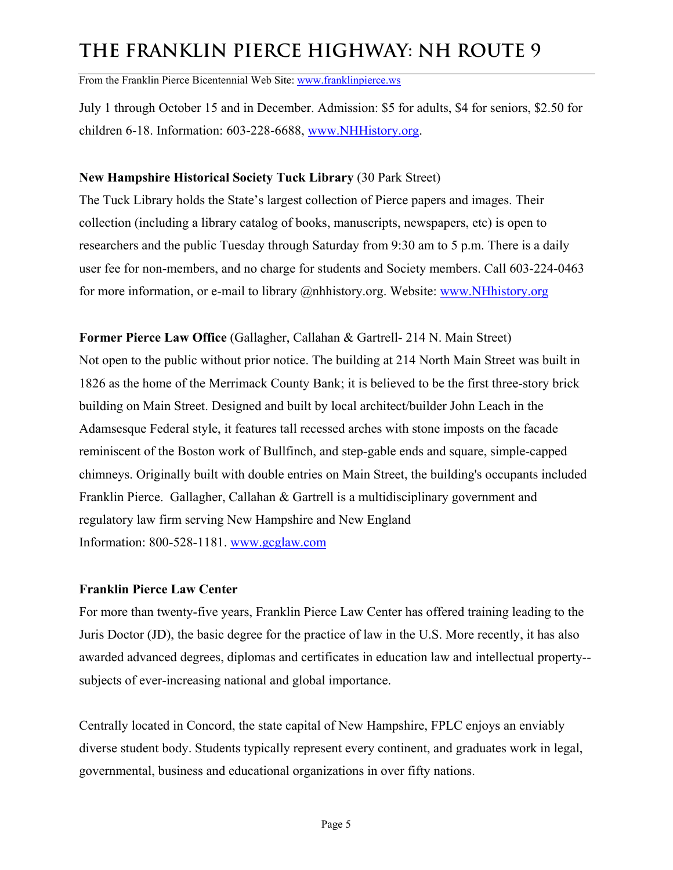From the Franklin Pierce Bicentennial Web Site: www.franklinpierce.ws

July 1 through October 15 and in December. Admission: \$5 for adults, \$4 for seniors, \$2.50 for children 6-18. Information: 603-228-6688, [www.NHHistory.org](http://www.NHHistory.org/).

#### **New Hampshire Historical Society Tuck Library** (30 Park Street)

The Tuck Library holds the State's largest collection of Pierce papers and images. Their collection (including a library catalog of books, manuscripts, newspapers, etc) is open to researchers and the public Tuesday through Saturday from 9:30 am to 5 p.m. There is a daily user fee for non-members, and no charge for students and Society members. Call 603-224-0463 for more information, or e-mail to library @nhhistory.org. Website: [www.NHhistory.org](http://www.NHhistory.org/)

**Former Pierce Law Office** (Gallagher, Callahan & Gartrell- 214 N. Main Street) Not open to the public without prior notice. The building at 214 North Main Street was built in 1826 as the home of the Merrimack County Bank; it is believed to be the first three-story brick building on Main Street. Designed and built by local architect/builder John Leach in the Adamsesque Federal style, it features tall recessed arches with stone imposts on the facade reminiscent of the Boston work of Bullfinch, and step-gable ends and square, simple-capped chimneys. Originally built with double entries on Main Street, the building's occupants included Franklin Pierce. Gallagher, Callahan & Gartrell is a multidisciplinary government and regulatory law firm serving New Hampshire and New England Information: 800-528-1181. [www.gcglaw.com](http://www.gcglaw.com/)

### **Franklin Pierce Law Center**

For more than twenty-five years, Franklin Pierce Law Center has offered training leading to the Juris Doctor (JD), the basic degree for the practice of law in the U.S. More recently, it has also awarded advanced degrees, diplomas and certificates in education law and intellectual property- subjects of ever-increasing national and global importance.

Centrally located in Concord, the state capital of New Hampshire, FPLC enjoys an enviably diverse student body. Students typically represent every continent, and graduates work in legal, governmental, business and educational organizations in over fifty nations.